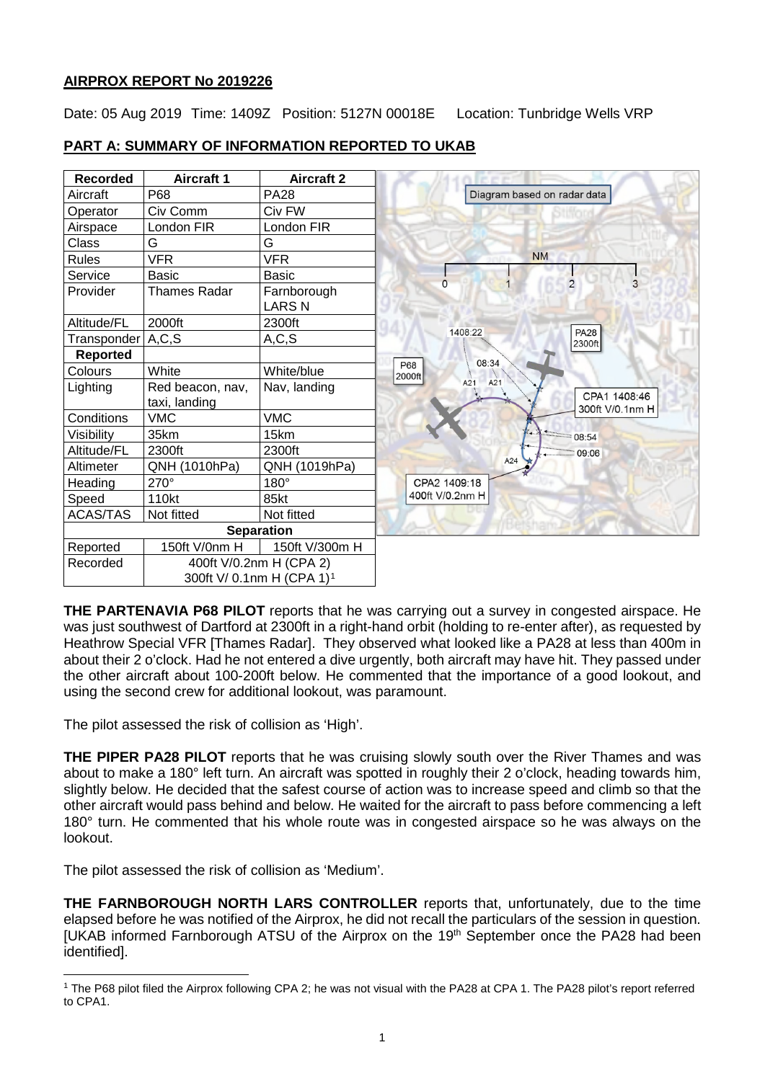## **AIRPROX REPORT No 2019226**

Date: 05 Aug 2019 Time: 1409Z Position: 5127N 00018E Location: Tunbridge Wells VRP

# **PART A: SUMMARY OF INFORMATION REPORTED TO UKAB**

| <b>Recorded</b> | <b>Aircraft 1</b>                 | <b>Aircraft 2</b>                                                |                                               |
|-----------------|-----------------------------------|------------------------------------------------------------------|-----------------------------------------------|
| Aircraft        | P68                               | <b>PA28</b>                                                      | Diagram based on radar data                   |
| Operator        | Civ Comm                          | Civ FW                                                           |                                               |
| Airspace        | London FIR                        | London FIR                                                       |                                               |
| <b>Class</b>    | G                                 | G                                                                |                                               |
| <b>Rules</b>    | <b>VFR</b>                        | <b>VFR</b>                                                       | <b>NM</b>                                     |
| Service         | <b>Basic</b>                      | <b>Basic</b>                                                     | $\overline{2}$                                |
| Provider        | <b>Thames Radar</b>               | Farnborough<br><b>LARS N</b>                                     |                                               |
| Altitude/FL     | 2000ft                            | 2300ft                                                           |                                               |
| Transponder     | A, C, S                           | A, C, S                                                          | <b>PA28</b><br>1408:22<br>2300ft              |
| <b>Reported</b> |                                   |                                                                  | 08:34                                         |
| Colours         | White                             | White/blue                                                       | <b>P68</b><br>2000ft                          |
| Lighting        | Red beacon, nav,<br>taxi, landing | Nav, landing                                                     | A21<br>A21<br>CPA1 1408:46<br>300ft V/0.1nm H |
| Conditions      | <b>VMC</b>                        | <b>VMC</b>                                                       |                                               |
| Visibility      | 35km                              | 15km                                                             | 08:54                                         |
| Altitude/FL     | 2300ft                            | 2300ft                                                           | 09:06                                         |
| Altimeter       | QNH (1010hPa)                     | QNH (1019hPa)                                                    | A24                                           |
| Heading         | 270°                              | 180°                                                             | CPA2 1409:18                                  |
| Speed           | 110kt                             | 85kt                                                             | 400ft V/0.2nm H                               |
| <b>ACAS/TAS</b> | Not fitted                        | Not fitted                                                       |                                               |
|                 |                                   | <b>Separation</b>                                                |                                               |
| Reported        | 150ft V/0nm H                     | 150ft V/300m H                                                   |                                               |
| Recorded        |                                   | 400ft V/0.2nm H (CPA 2)<br>300ft V/ 0.1nm H (CPA 1) <sup>1</sup> |                                               |

**THE PARTENAVIA P68 PILOT** reports that he was carrying out a survey in congested airspace. He was just southwest of Dartford at 2300ft in a right-hand orbit (holding to re-enter after), as requested by Heathrow Special VFR [Thames Radar]. They observed what looked like a PA28 at less than 400m in about their 2 o'clock. Had he not entered a dive urgently, both aircraft may have hit. They passed under the other aircraft about 100-200ft below. He commented that the importance of a good lookout, and using the second crew for additional lookout, was paramount.

The pilot assessed the risk of collision as 'High'.

**THE PIPER PA28 PILOT** reports that he was cruising slowly south over the River Thames and was about to make a 180° left turn. An aircraft was spotted in roughly their 2 o'clock, heading towards him, slightly below. He decided that the safest course of action was to increase speed and climb so that the other aircraft would pass behind and below. He waited for the aircraft to pass before commencing a left 180° turn. He commented that his whole route was in congested airspace so he was always on the lookout.

The pilot assessed the risk of collision as 'Medium'.

**THE FARNBOROUGH NORTH LARS CONTROLLER** reports that, unfortunately, due to the time elapsed before he was notified of the Airprox, he did not recall the particulars of the session in question. [UKAB informed Farnborough ATSU of the Airprox on the 19<sup>th</sup> September once the PA28 had been identified].

<span id="page-0-0"></span> $\overline{\phantom{a}}$ <sup>1</sup> The P68 pilot filed the Airprox following CPA 2; he was not visual with the PA28 at CPA 1. The PA28 pilot's report referred to CPA1.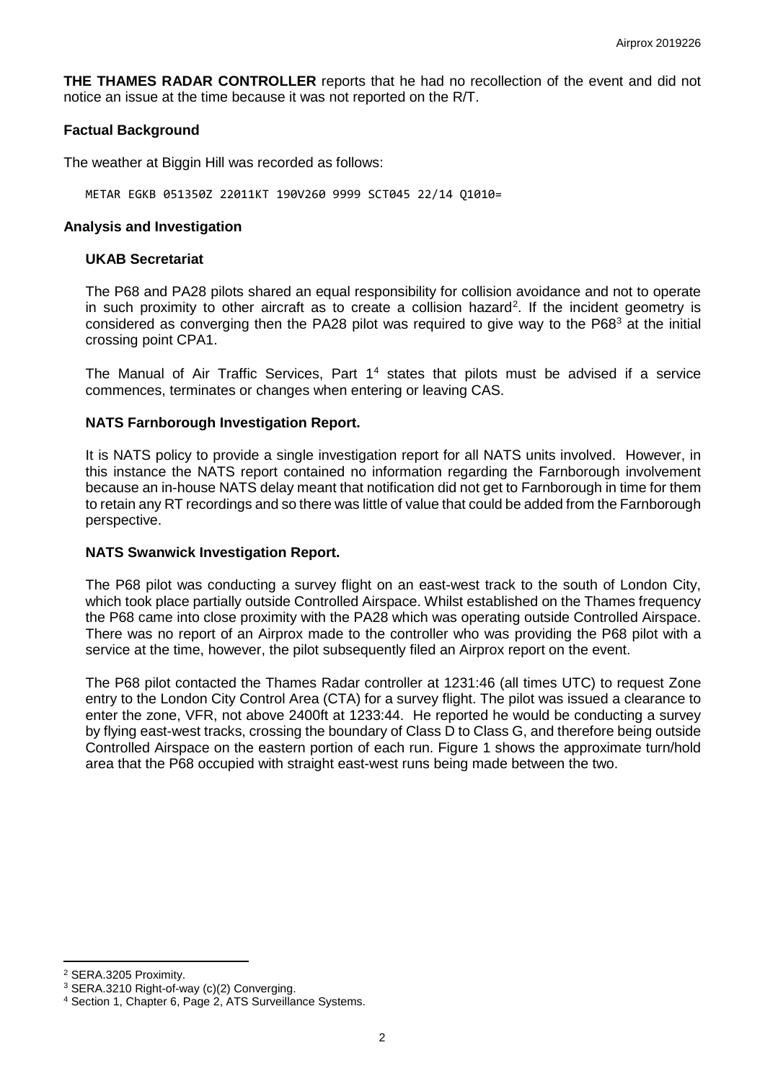**THE THAMES RADAR CONTROLLER** reports that he had no recollection of the event and did not notice an issue at the time because it was not reported on the R/T.

### **Factual Background**

The weather at Biggin Hill was recorded as follows:

METAR EGKB 051350Z 22011KT 190V260 9999 SCT045 22/14 Q1010=

#### **Analysis and Investigation**

#### **UKAB Secretariat**

The P68 and PA28 pilots shared an equal responsibility for collision avoidance and not to operate in such proximity to other aircraft as to create a collision hazard<sup>[2](#page-1-0)</sup>. If the incident geometry is considered as converging then the PA28 pilot was required to give way to the P68<sup>[3](#page-1-1)</sup> at the initial crossing point CPA1.

The Manual of Air Traffic Services, Part  $1<sup>4</sup>$  $1<sup>4</sup>$  $1<sup>4</sup>$  states that pilots must be advised if a service commences, terminates or changes when entering or leaving CAS.

### **NATS Farnborough Investigation Report.**

It is NATS policy to provide a single investigation report for all NATS units involved. However, in this instance the NATS report contained no information regarding the Farnborough involvement because an in-house NATS delay meant that notification did not get to Farnborough in time for them to retain any RT recordings and so there was little of value that could be added from the Farnborough perspective.

#### **NATS Swanwick Investigation Report.**

The P68 pilot was conducting a survey flight on an east-west track to the south of London City, which took place partially outside Controlled Airspace. Whilst established on the Thames frequency the P68 came into close proximity with the PA28 which was operating outside Controlled Airspace. There was no report of an Airprox made to the controller who was providing the P68 pilot with a service at the time, however, the pilot subsequently filed an Airprox report on the event.

The P68 pilot contacted the Thames Radar controller at 1231:46 (all times UTC) to request Zone entry to the London City Control Area (CTA) for a survey flight. The pilot was issued a clearance to enter the zone, VFR, not above 2400ft at 1233:44. He reported he would be conducting a survey by flying east-west tracks, crossing the boundary of Class D to Class G, and therefore being outside Controlled Airspace on the eastern portion of each run. Figure 1 shows the approximate turn/hold area that the P68 occupied with straight east-west runs being made between the two.

l

<span id="page-1-1"></span><span id="page-1-0"></span><sup>&</sup>lt;sup>2</sup> SERA.3205 Proximity.<br><sup>3</sup> SERA.3210 Right-of-way (c)(2) Converging.

<span id="page-1-2"></span><sup>&</sup>lt;sup>4</sup> Section 1, Chapter 6, Page 2, ATS Surveillance Systems.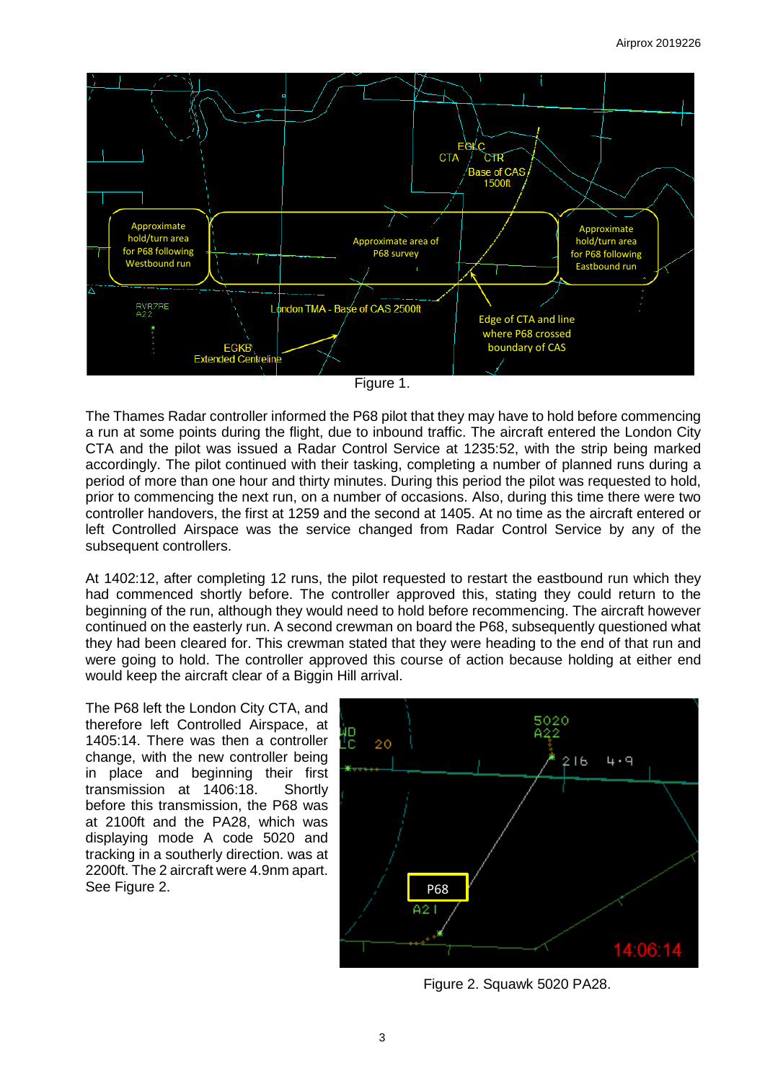

Figure 1.

The Thames Radar controller informed the P68 pilot that they may have to hold before commencing a run at some points during the flight, due to inbound traffic. The aircraft entered the London City CTA and the pilot was issued a Radar Control Service at 1235:52, with the strip being marked accordingly. The pilot continued with their tasking, completing a number of planned runs during a period of more than one hour and thirty minutes. During this period the pilot was requested to hold, prior to commencing the next run, on a number of occasions. Also, during this time there were two controller handovers, the first at 1259 and the second at 1405. At no time as the aircraft entered or left Controlled Airspace was the service changed from Radar Control Service by any of the subsequent controllers.

At 1402:12, after completing 12 runs, the pilot requested to restart the eastbound run which they had commenced shortly before. The controller approved this, stating they could return to the beginning of the run, although they would need to hold before recommencing. The aircraft however continued on the easterly run. A second crewman on board the P68, subsequently questioned what they had been cleared for. This crewman stated that they were heading to the end of that run and were going to hold. The controller approved this course of action because holding at either end would keep the aircraft clear of a Biggin Hill arrival.

The P68 left the London City CTA, and therefore left Controlled Airspace, at 1405:14. There was then a controller change, with the new controller being in place and beginning their first transmission at 1406:18. Shortly before this transmission, the P68 was at 2100ft and the PA28, which was displaying mode A code 5020 and tracking in a southerly direction. was at 2200ft. The 2 aircraft were 4.9nm apart. See Figure 2.



Figure 2. Squawk 5020 PA28.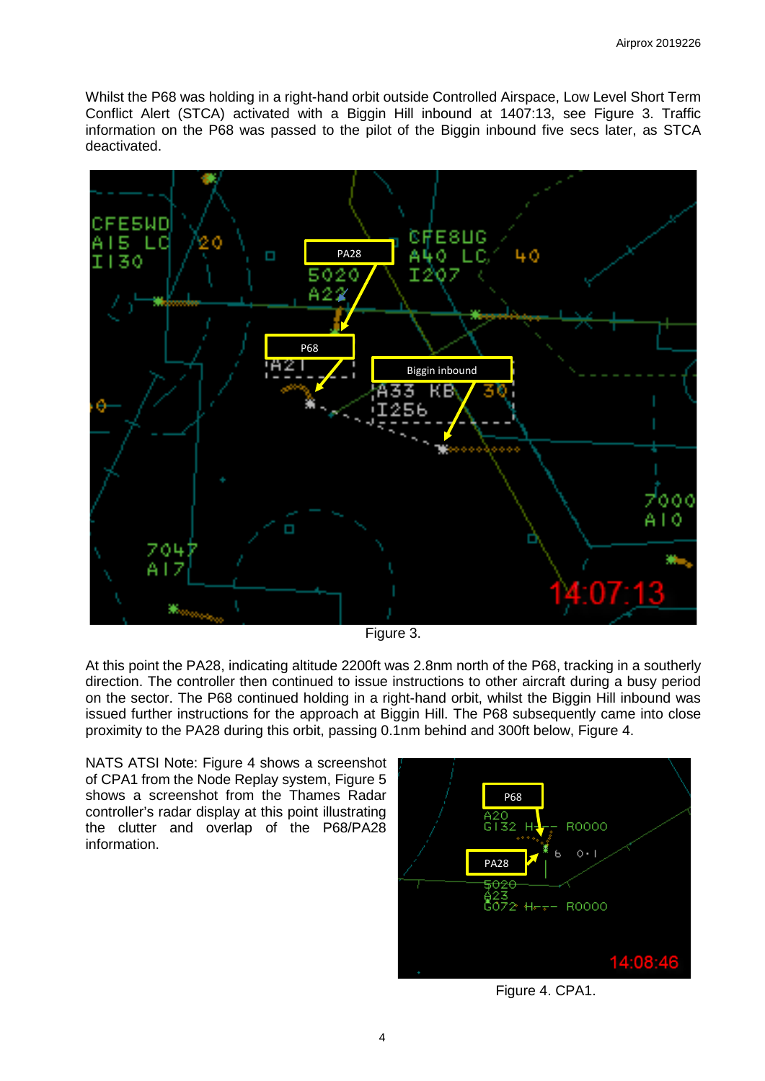Whilst the P68 was holding in a right-hand orbit outside Controlled Airspace, Low Level Short Term Conflict Alert (STCA) activated with a Biggin Hill inbound at 1407:13, see Figure 3. Traffic information on the P68 was passed to the pilot of the Biggin inbound five secs later, as STCA deactivated.



Figure 3.

At this point the PA28, indicating altitude 2200ft was 2.8nm north of the P68, tracking in a southerly direction. The controller then continued to issue instructions to other aircraft during a busy period on the sector. The P68 continued holding in a right-hand orbit, whilst the Biggin Hill inbound was issued further instructions for the approach at Biggin Hill. The P68 subsequently came into close proximity to the PA28 during this orbit, passing 0.1nm behind and 300ft below, Figure 4.

NATS ATSI Note: Figure 4 shows a screenshot of CPA1 from the Node Replay system, Figure 5 shows a screenshot from the Thames Radar controller's radar display at this point illustrating the clutter and overlap of the P68/PA28 information.



Figure 4. CPA1.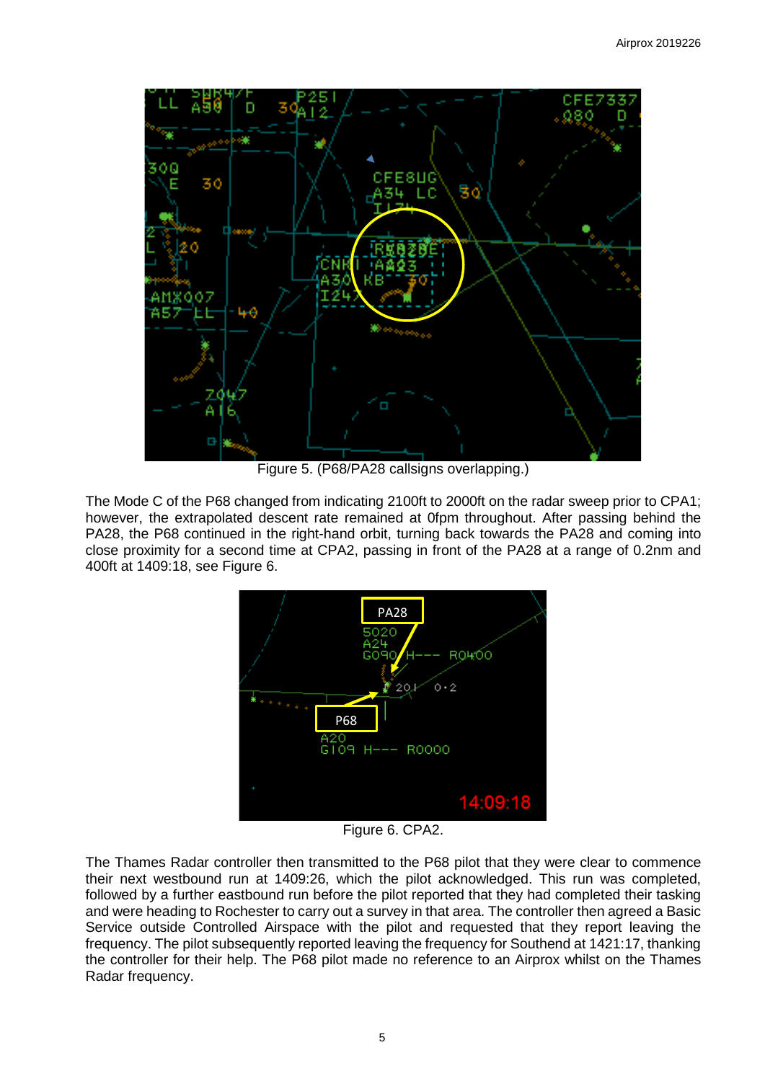

Figure 5. (P68/PA28 callsigns overlapping.)

The Mode C of the P68 changed from indicating 2100ft to 2000ft on the radar sweep prior to CPA1; however, the extrapolated descent rate remained at 0fpm throughout. After passing behind the PA28, the P68 continued in the right-hand orbit, turning back towards the PA28 and coming into close proximity for a second time at CPA2, passing in front of the PA28 at a range of 0.2nm and 400ft at 1409:18, see Figure 6.



Figure 6. CPA2.

The Thames Radar controller then transmitted to the P68 pilot that they were clear to commence their next westbound run at 1409:26, which the pilot acknowledged. This run was completed, followed by a further eastbound run before the pilot reported that they had completed their tasking and were heading to Rochester to carry out a survey in that area. The controller then agreed a Basic Service outside Controlled Airspace with the pilot and requested that they report leaving the frequency. The pilot subsequently reported leaving the frequency for Southend at 1421:17, thanking the controller for their help. The P68 pilot made no reference to an Airprox whilst on the Thames Radar frequency.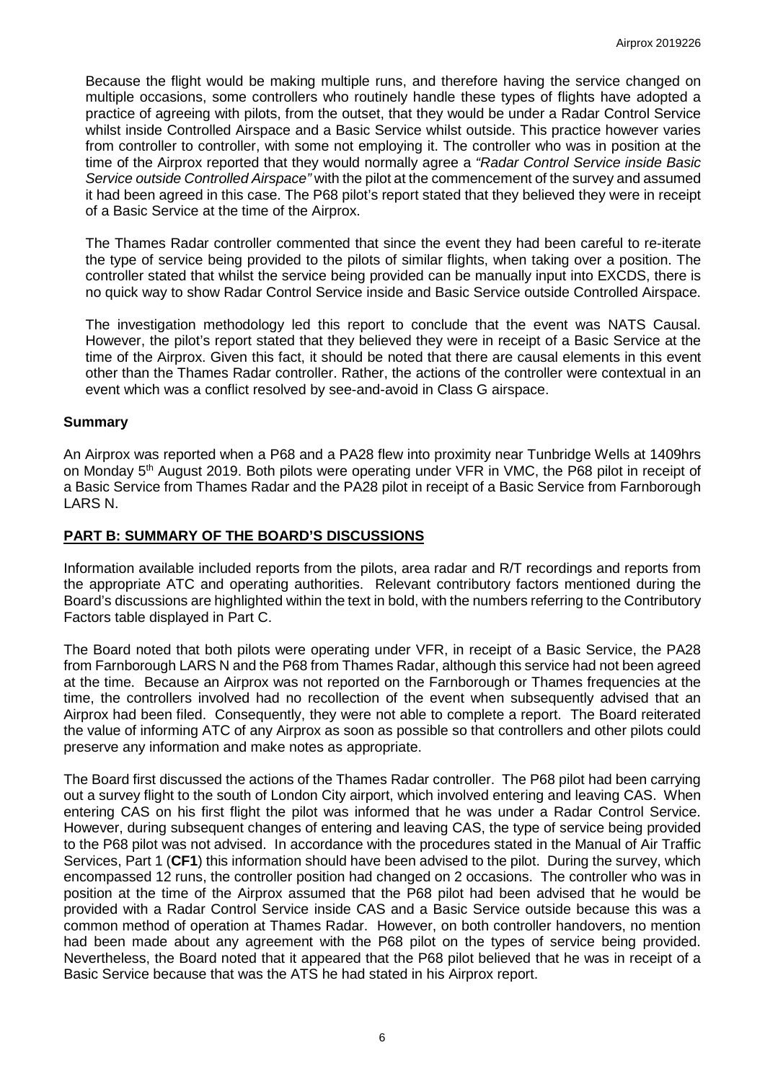Because the flight would be making multiple runs, and therefore having the service changed on multiple occasions, some controllers who routinely handle these types of flights have adopted a practice of agreeing with pilots, from the outset, that they would be under a Radar Control Service whilst inside Controlled Airspace and a Basic Service whilst outside. This practice however varies from controller to controller, with some not employing it. The controller who was in position at the time of the Airprox reported that they would normally agree a *"Radar Control Service inside Basic Service outside Controlled Airspace"* with the pilot at the commencement of the survey and assumed it had been agreed in this case. The P68 pilot's report stated that they believed they were in receipt of a Basic Service at the time of the Airprox.

The Thames Radar controller commented that since the event they had been careful to re-iterate the type of service being provided to the pilots of similar flights, when taking over a position. The controller stated that whilst the service being provided can be manually input into EXCDS, there is no quick way to show Radar Control Service inside and Basic Service outside Controlled Airspace.

The investigation methodology led this report to conclude that the event was NATS Causal. However, the pilot's report stated that they believed they were in receipt of a Basic Service at the time of the Airprox. Given this fact, it should be noted that there are causal elements in this event other than the Thames Radar controller. Rather, the actions of the controller were contextual in an event which was a conflict resolved by see-and-avoid in Class G airspace.

## **Summary**

An Airprox was reported when a P68 and a PA28 flew into proximity near Tunbridge Wells at 1409hrs on Monday 5<sup>th</sup> August 2019. Both pilots were operating under VFR in VMC, the P68 pilot in receipt of a Basic Service from Thames Radar and the PA28 pilot in receipt of a Basic Service from Farnborough LARS N.

## **PART B: SUMMARY OF THE BOARD'S DISCUSSIONS**

Information available included reports from the pilots, area radar and R/T recordings and reports from the appropriate ATC and operating authorities. Relevant contributory factors mentioned during the Board's discussions are highlighted within the text in bold, with the numbers referring to the Contributory Factors table displayed in Part C.

The Board noted that both pilots were operating under VFR, in receipt of a Basic Service, the PA28 from Farnborough LARS N and the P68 from Thames Radar, although this service had not been agreed at the time. Because an Airprox was not reported on the Farnborough or Thames frequencies at the time, the controllers involved had no recollection of the event when subsequently advised that an Airprox had been filed. Consequently, they were not able to complete a report. The Board reiterated the value of informing ATC of any Airprox as soon as possible so that controllers and other pilots could preserve any information and make notes as appropriate.

The Board first discussed the actions of the Thames Radar controller. The P68 pilot had been carrying out a survey flight to the south of London City airport, which involved entering and leaving CAS. When entering CAS on his first flight the pilot was informed that he was under a Radar Control Service. However, during subsequent changes of entering and leaving CAS, the type of service being provided to the P68 pilot was not advised. In accordance with the procedures stated in the Manual of Air Traffic Services, Part 1 (**CF1**) this information should have been advised to the pilot. During the survey, which encompassed 12 runs, the controller position had changed on 2 occasions. The controller who was in position at the time of the Airprox assumed that the P68 pilot had been advised that he would be provided with a Radar Control Service inside CAS and a Basic Service outside because this was a common method of operation at Thames Radar. However, on both controller handovers, no mention had been made about any agreement with the P68 pilot on the types of service being provided. Nevertheless, the Board noted that it appeared that the P68 pilot believed that he was in receipt of a Basic Service because that was the ATS he had stated in his Airprox report.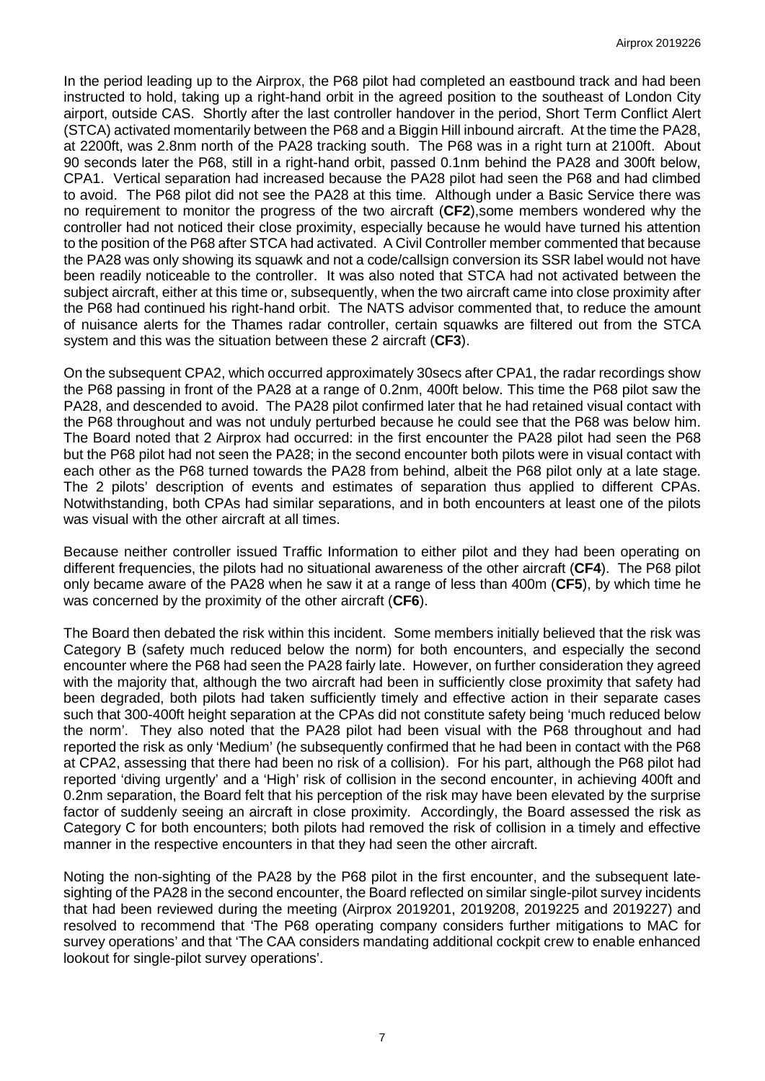In the period leading up to the Airprox, the P68 pilot had completed an eastbound track and had been instructed to hold, taking up a right-hand orbit in the agreed position to the southeast of London City airport, outside CAS. Shortly after the last controller handover in the period, Short Term Conflict Alert (STCA) activated momentarily between the P68 and a Biggin Hill inbound aircraft. At the time the PA28, at 2200ft, was 2.8nm north of the PA28 tracking south. The P68 was in a right turn at 2100ft. About 90 seconds later the P68, still in a right-hand orbit, passed 0.1nm behind the PA28 and 300ft below, CPA1. Vertical separation had increased because the PA28 pilot had seen the P68 and had climbed to avoid. The P68 pilot did not see the PA28 at this time. Although under a Basic Service there was no requirement to monitor the progress of the two aircraft (**CF2**),some members wondered why the controller had not noticed their close proximity, especially because he would have turned his attention to the position of the P68 after STCA had activated. A Civil Controller member commented that because the PA28 was only showing its squawk and not a code/callsign conversion its SSR label would not have been readily noticeable to the controller. It was also noted that STCA had not activated between the subject aircraft, either at this time or, subsequently, when the two aircraft came into close proximity after the P68 had continued his right-hand orbit. The NATS advisor commented that, to reduce the amount of nuisance alerts for the Thames radar controller, certain squawks are filtered out from the STCA system and this was the situation between these 2 aircraft (**CF3**).

On the subsequent CPA2, which occurred approximately 30secs after CPA1, the radar recordings show the P68 passing in front of the PA28 at a range of 0.2nm, 400ft below. This time the P68 pilot saw the PA28, and descended to avoid. The PA28 pilot confirmed later that he had retained visual contact with the P68 throughout and was not unduly perturbed because he could see that the P68 was below him. The Board noted that 2 Airprox had occurred: in the first encounter the PA28 pilot had seen the P68 but the P68 pilot had not seen the PA28; in the second encounter both pilots were in visual contact with each other as the P68 turned towards the PA28 from behind, albeit the P68 pilot only at a late stage. The 2 pilots' description of events and estimates of separation thus applied to different CPAs. Notwithstanding, both CPAs had similar separations, and in both encounters at least one of the pilots was visual with the other aircraft at all times.

Because neither controller issued Traffic Information to either pilot and they had been operating on different frequencies, the pilots had no situational awareness of the other aircraft (**CF4**). The P68 pilot only became aware of the PA28 when he saw it at a range of less than 400m (**CF5**), by which time he was concerned by the proximity of the other aircraft (**CF6**).

The Board then debated the risk within this incident. Some members initially believed that the risk was Category B (safety much reduced below the norm) for both encounters, and especially the second encounter where the P68 had seen the PA28 fairly late. However, on further consideration they agreed with the majority that, although the two aircraft had been in sufficiently close proximity that safety had been degraded, both pilots had taken sufficiently timely and effective action in their separate cases such that 300-400ft height separation at the CPAs did not constitute safety being 'much reduced below the norm'. They also noted that the PA28 pilot had been visual with the P68 throughout and had reported the risk as only 'Medium' (he subsequently confirmed that he had been in contact with the P68 at CPA2, assessing that there had been no risk of a collision). For his part, although the P68 pilot had reported 'diving urgently' and a 'High' risk of collision in the second encounter, in achieving 400ft and 0.2nm separation, the Board felt that his perception of the risk may have been elevated by the surprise factor of suddenly seeing an aircraft in close proximity. Accordingly, the Board assessed the risk as Category C for both encounters; both pilots had removed the risk of collision in a timely and effective manner in the respective encounters in that they had seen the other aircraft.

Noting the non-sighting of the PA28 by the P68 pilot in the first encounter, and the subsequent latesighting of the PA28 in the second encounter, the Board reflected on similar single-pilot survey incidents that had been reviewed during the meeting (Airprox 2019201, 2019208, 2019225 and 2019227) and resolved to recommend that 'The P68 operating company considers further mitigations to MAC for survey operations' and that 'The CAA considers mandating additional cockpit crew to enable enhanced lookout for single-pilot survey operations'.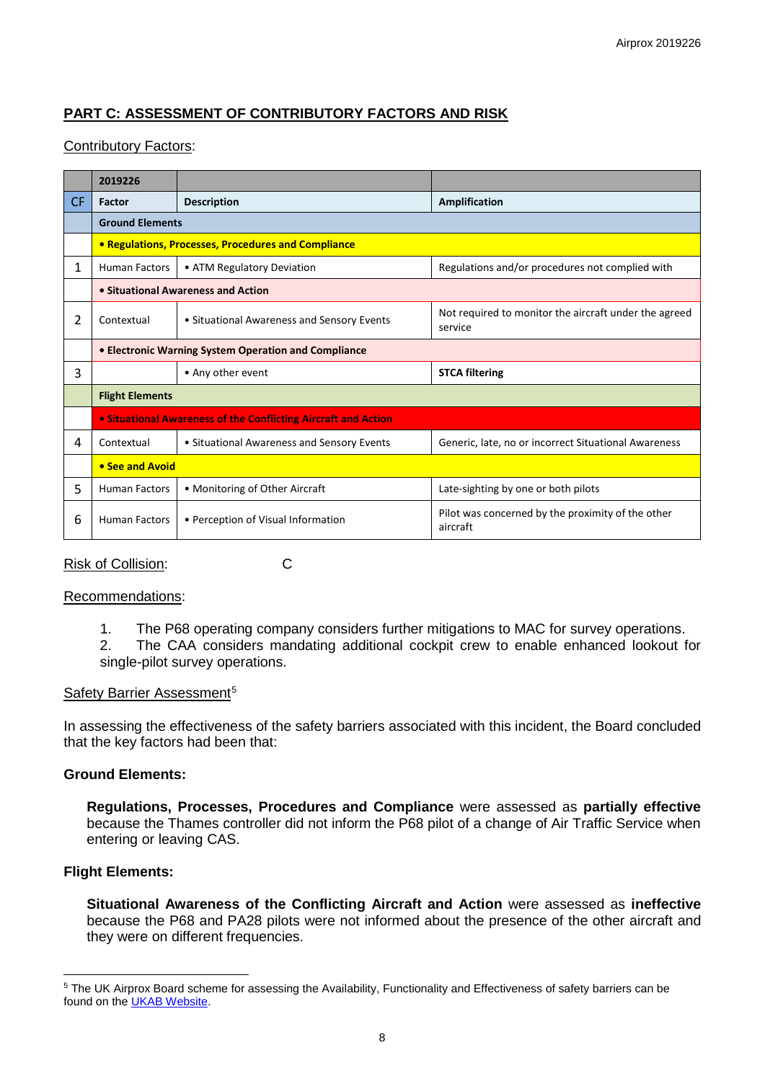# **PART C: ASSESSMENT OF CONTRIBUTORY FACTORS AND RISK**

## Contributory Factors:

|              | 2019226                                                               |                                            |                                                                  |  |  |  |  |  |  |  |
|--------------|-----------------------------------------------------------------------|--------------------------------------------|------------------------------------------------------------------|--|--|--|--|--|--|--|
| CF.          | Factor                                                                | <b>Description</b>                         | Amplification                                                    |  |  |  |  |  |  |  |
|              | <b>Ground Elements</b>                                                |                                            |                                                                  |  |  |  |  |  |  |  |
|              | • Regulations, Processes, Procedures and Compliance                   |                                            |                                                                  |  |  |  |  |  |  |  |
| $\mathbf{1}$ | <b>Human Factors</b>                                                  | • ATM Regulatory Deviation                 | Regulations and/or procedures not complied with                  |  |  |  |  |  |  |  |
|              | • Situational Awareness and Action                                    |                                            |                                                                  |  |  |  |  |  |  |  |
| 2            | Contextual                                                            | • Situational Awareness and Sensory Events | Not required to monitor the aircraft under the agreed<br>service |  |  |  |  |  |  |  |
|              | • Electronic Warning System Operation and Compliance                  |                                            |                                                                  |  |  |  |  |  |  |  |
| 3            |                                                                       | • Any other event                          | <b>STCA filtering</b>                                            |  |  |  |  |  |  |  |
|              | <b>Flight Elements</b>                                                |                                            |                                                                  |  |  |  |  |  |  |  |
|              | <b>.</b> Situational Awareness of the Conflicting Aircraft and Action |                                            |                                                                  |  |  |  |  |  |  |  |
| 4            | Contextual                                                            | • Situational Awareness and Sensory Events | Generic, late, no or incorrect Situational Awareness             |  |  |  |  |  |  |  |
|              | • See and Avoid                                                       |                                            |                                                                  |  |  |  |  |  |  |  |
| 5            | <b>Human Factors</b>                                                  | • Monitoring of Other Aircraft             | Late-sighting by one or both pilots                              |  |  |  |  |  |  |  |
| 6            | <b>Human Factors</b>                                                  | • Perception of Visual Information         | Pilot was concerned by the proximity of the other<br>aircraft    |  |  |  |  |  |  |  |

Risk of Collision: C

#### Recommendations:

- 1. The P68 operating company considers further mitigations to MAC for survey operations.
- 2. The CAA considers mandating additional cockpit crew to enable enhanced lookout for single-pilot survey operations.

#### Safety Barrier Assessment<sup>[5](#page-7-0)</sup>

In assessing the effectiveness of the safety barriers associated with this incident, the Board concluded that the key factors had been that:

## **Ground Elements:**

**Regulations, Processes, Procedures and Compliance** were assessed as **partially effective** because the Thames controller did not inform the P68 pilot of a change of Air Traffic Service when entering or leaving CAS.

## **Flight Elements:**

 $\overline{\phantom{a}}$ 

**Situational Awareness of the Conflicting Aircraft and Action** were assessed as **ineffective** because the P68 and PA28 pilots were not informed about the presence of the other aircraft and they were on different frequencies.

<span id="page-7-0"></span><sup>&</sup>lt;sup>5</sup> The UK Airprox Board scheme for assessing the Availability, Functionality and Effectiveness of safety barriers can be found on the [UKAB Website.](http://www.airproxboard.org.uk/Learn-more/Airprox-Barrier-Assessment/)